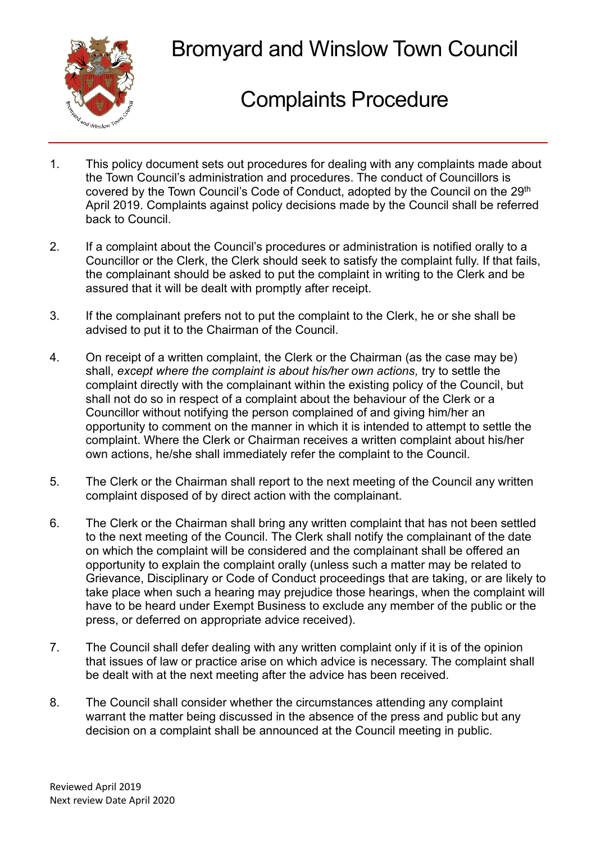

## Bromyard and Winslow Town Council

## Complaints Procedure

- 1. This policy document sets out procedures for dealing with any complaints made about the Town Council's administration and procedures. The conduct of Councillors is covered by the Town Council's Code of Conduct, adopted by the Council on the 29<sup>th</sup> April 2019. Complaints against policy decisions made by the Council shall be referred back to Council.
- 2. If a complaint about the Council's procedures or administration is notified orally to a Councillor or the Clerk, the Clerk should seek to satisfy the complaint fully. If that fails, the complainant should be asked to put the complaint in writing to the Clerk and be assured that it will be dealt with promptly after receipt.
- 3. If the complainant prefers not to put the complaint to the Clerk, he or she shall be advised to put it to the Chairman of the Council.
- 4. On receipt of a written complaint, the Clerk or the Chairman (as the case may be) shall, *except where the complaint is about his/her own actions,* try to settle the complaint directly with the complainant within the existing policy of the Council, but shall not do so in respect of a complaint about the behaviour of the Clerk or a Councillor without notifying the person complained of and giving him/her an opportunity to comment on the manner in which it is intended to attempt to settle the complaint. Where the Clerk or Chairman receives a written complaint about his/her own actions, he/she shall immediately refer the complaint to the Council.
- 5. The Clerk or the Chairman shall report to the next meeting of the Council any written complaint disposed of by direct action with the complainant.
- 6. The Clerk or the Chairman shall bring any written complaint that has not been settled to the next meeting of the Council. The Clerk shall notify the complainant of the date on which the complaint will be considered and the complainant shall be offered an opportunity to explain the complaint orally (unless such a matter may be related to Grievance, Disciplinary or Code of Conduct proceedings that are taking, or are likely to take place when such a hearing may prejudice those hearings, when the complaint will have to be heard under Exempt Business to exclude any member of the public or the press, or deferred on appropriate advice received).
- 7. The Council shall defer dealing with any written complaint only if it is of the opinion that issues of law or practice arise on which advice is necessary. The complaint shall be dealt with at the next meeting after the advice has been received.
- 8. The Council shall consider whether the circumstances attending any complaint warrant the matter being discussed in the absence of the press and public but any decision on a complaint shall be announced at the Council meeting in public.